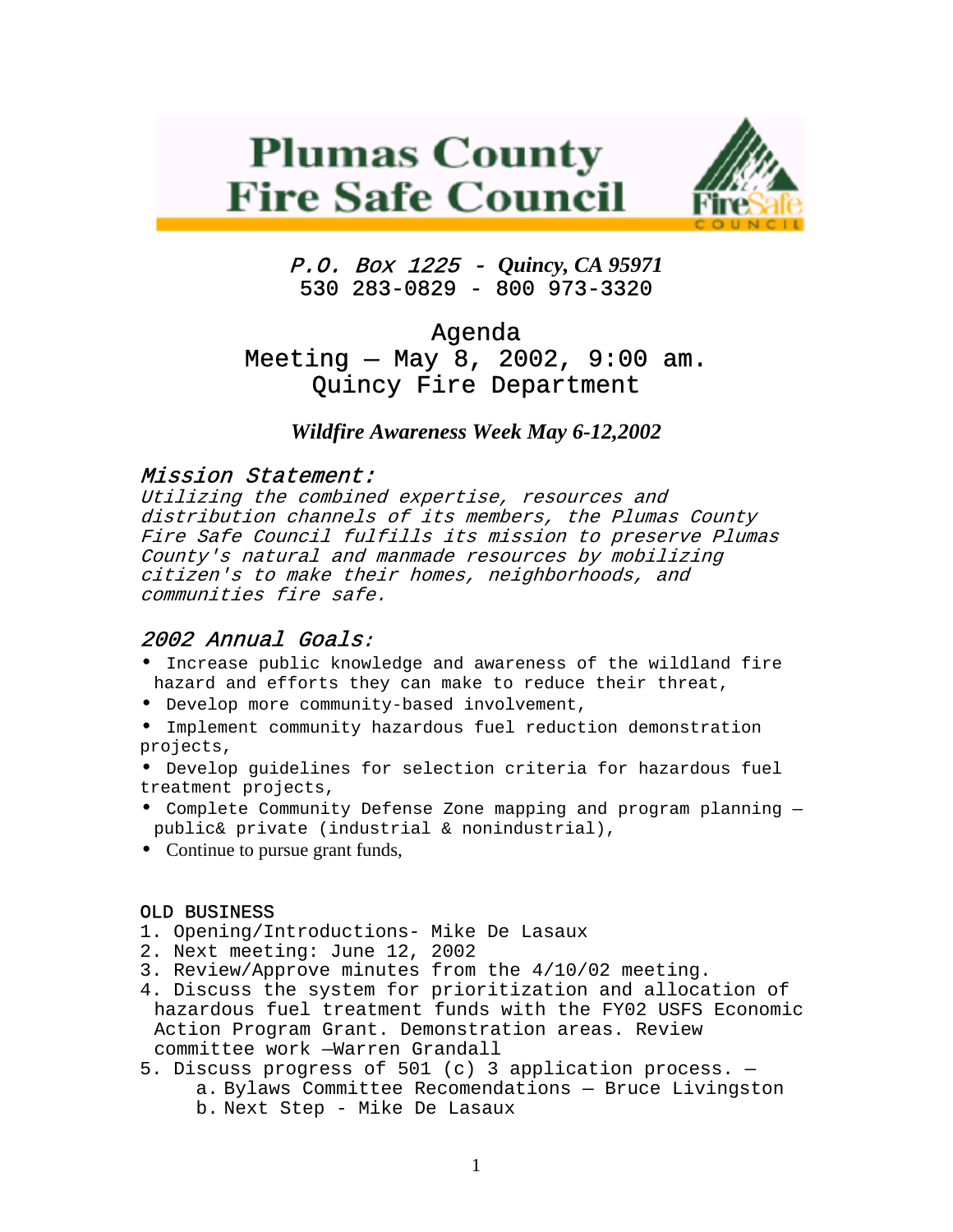# **Plumas County Fire Safe Council**



P.O. Box 1225 - *Quincy, CA 95971*  530 283-0829 - 800 973-3320

# Agenda Meeting — May 8, 2002, 9:00 am. Quincy Fire Department

## *Wildfire Awareness Week May 6-12,2002*

## Mission Statement:

Utilizing the combined expertise, resources and distribution channels of its members, the Plumas County Fire Safe Council fulfills its mission to preserve Plumas County's natural and manmade resources by mobilizing citizen's to make their homes, neighborhoods, and communities fire safe.

#### 2002 Annual Goals:

- Increase public knowledge and awareness of the wildland fire hazard and efforts they can make to reduce their threat,
- Develop more community-based involvement,
- Implement community hazardous fuel reduction demonstration projects,
- Develop guidelines for selection criteria for hazardous fuel treatment projects,
- Complete Community Defense Zone mapping and program planning public& private (industrial & nonindustrial),
- Continue to pursue grant funds,

#### OLD BUSINESS

- 1. Opening/Introductions- Mike De Lasaux
- 2. Next meeting: June 12, 2002
- 3. Review/Approve minutes from the 4/10/02 meeting.
- 4. Discuss the system for prioritization and allocation of hazardous fuel treatment funds with the FY02 USFS Economic Action Program Grant. Demonstration areas. Review committee work —Warren Grandall
- 5. Discuss progress of 501 (c) 3 application process. a. Bylaws Committee Recomendations — Bruce Livingston b. Next Step - Mike De Lasaux